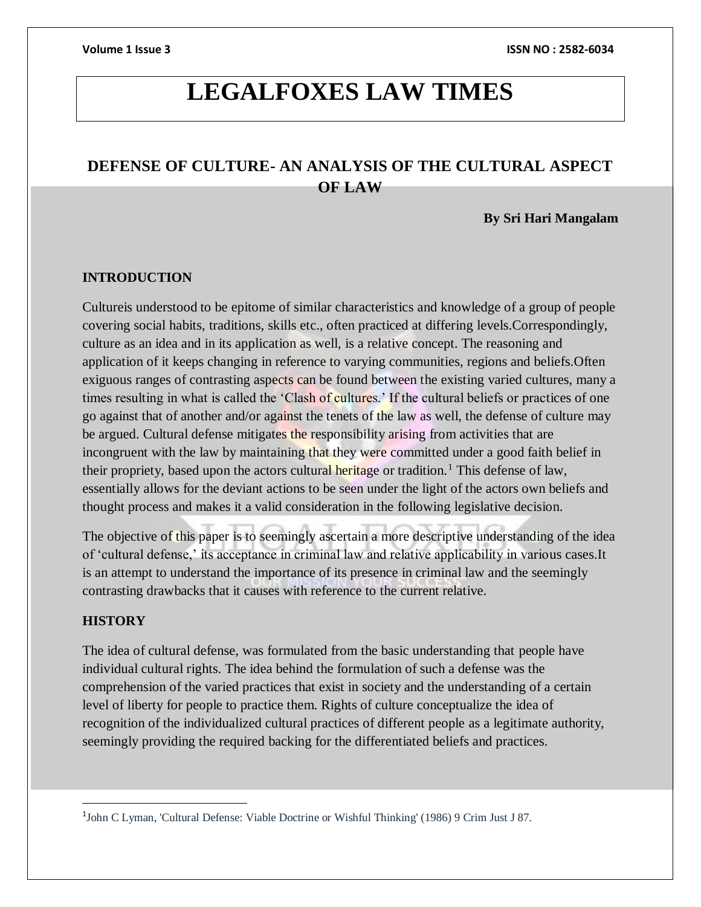# **LEGALFOXES LAW TIMES**

## **DEFENSE OF CULTURE- AN ANALYSIS OF THE CULTURAL ASPECT OF LAW**

### **By Sri Hari Mangalam**

### **INTRODUCTION**

Cultureis understood to be epitome of similar characteristics and knowledge of a group of people covering social habits, traditions, skills etc., often practiced at differing levels.Correspondingly, culture as an idea and in its application as well, is a relative concept. The reasoning and application of it keeps changing in reference to varying communities, regions and beliefs.Often exiguous ranges of contrasting aspects can be found between the existing varied cultures, many a times resulting in what is called the 'Clash of cultures.' If the cultural beliefs or practices of one go against that of another and/or against the tenets of the law as well, the defense of culture may be argued. Cultural defense mitigates the responsibility arising from activities that are incongruent with the law by maintaining that they were committed under a good faith belief in their propriety, based upon the actors cultural heritage or tradition.<sup>1</sup> This defense of law, essentially allows for the deviant actions to be seen under the light of the actors own beliefs and thought process and makes it a valid consideration in the following legislative decision.

The objective of this paper is to seemingly ascertain a more descriptive understanding of the idea of 'cultural defense,' its acceptance in criminal law and relative applicability in various cases.It is an attempt to understand the importance of its presence in criminal law and the seemingly contrasting drawbacks that it causes with reference to the current relative.

#### **HISTORY**

 $\overline{a}$ 

The idea of cultural defense, was formulated from the basic understanding that people have individual cultural rights. The idea behind the formulation of such a defense was the comprehension of the varied practices that exist in society and the understanding of a certain level of liberty for people to practice them. Rights of culture conceptualize the idea of recognition of the individualized cultural practices of different people as a legitimate authority, seemingly providing the required backing for the differentiated beliefs and practices.

<sup>&</sup>lt;sup>1</sup>John C Lyman, 'Cultural Defense: Viable Doctrine or Wishful Thinking' (1986) 9 Crim Just J 87.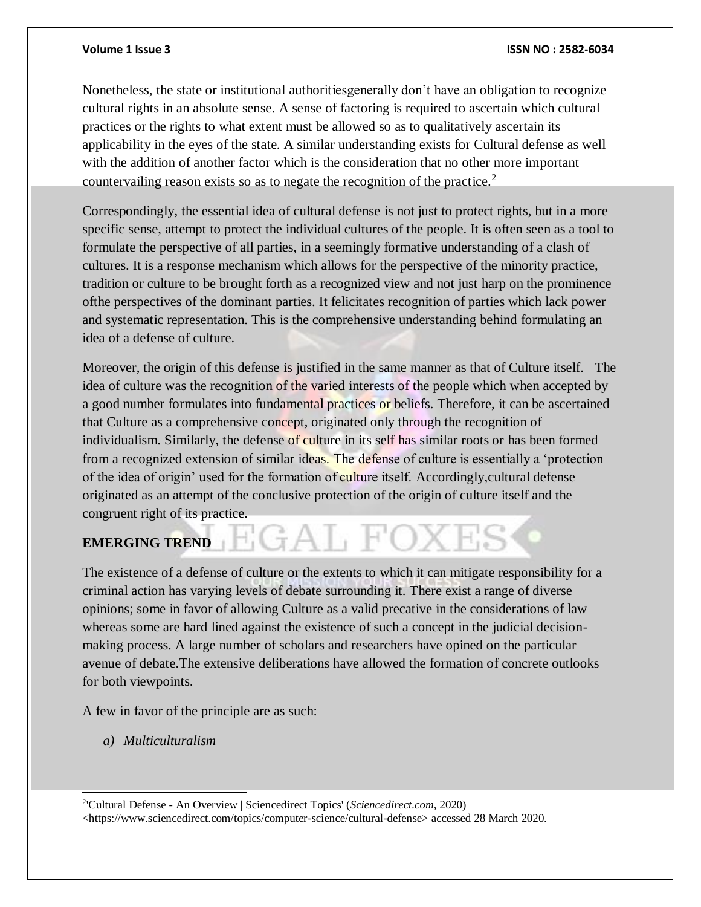#### **Volume 1 Issue 3 ISSN NO : 2582-6034**

Nonetheless, the state or institutional authoritiesgenerally don't have an obligation to recognize cultural rights in an absolute sense. A sense of factoring is required to ascertain which cultural practices or the rights to what extent must be allowed so as to qualitatively ascertain its applicability in the eyes of the state. A similar understanding exists for Cultural defense as well with the addition of another factor which is the consideration that no other more important countervailing reason exists so as to negate the recognition of the practice. 2

Correspondingly, the essential idea of cultural defense is not just to protect rights, but in a more specific sense, attempt to protect the individual cultures of the people. It is often seen as a tool to formulate the perspective of all parties, in a seemingly formative understanding of a clash of cultures. It is a response mechanism which allows for the perspective of the minority practice, tradition or culture to be brought forth as a recognized view and not just harp on the prominence ofthe perspectives of the dominant parties. It felicitates recognition of parties which lack power and systematic representation. This is the comprehensive understanding behind formulating an idea of a defense of culture.

Moreover, the origin of this defense is justified in the same manner as that of Culture itself. The idea of culture was the recognition of the varied interests of the people which when accepted by a good number formulates into fundamental practices or beliefs. Therefore, it can be ascertained that Culture as a comprehensive concept, originated only through the recognition of individualism. Similarly, the defense of culture in its self has similar roots or has been formed from a recognized extension of similar ideas. The defense of culture is essentially a 'protection of the idea of origin' used for the formation of culture itself. Accordingly,cultural defense originated as an attempt of the conclusive protection of the origin of culture itself and the congruent right of its practice.

### **EMERGING TREND**

The existence of a defense of culture or the extents to which it can mitigate responsibility for a criminal action has varying levels of debate surrounding it. There exist a range of diverse opinions; some in favor of allowing Culture as a valid precative in the considerations of law whereas some are hard lined against the existence of such a concept in the judicial decisionmaking process. A large number of scholars and researchers have opined on the particular avenue of debate.The extensive deliberations have allowed the formation of concrete outlooks for both viewpoints.

GAL FO

A few in favor of the principle are as such:

*a) Multiculturalism* 

l

<sup>2</sup> 'Cultural Defense - An Overview | Sciencedirect Topics' (*Sciencedirect.com*, 2020) <https://www.sciencedirect.com/topics/computer-science/cultural-defense> accessed 28 March 2020.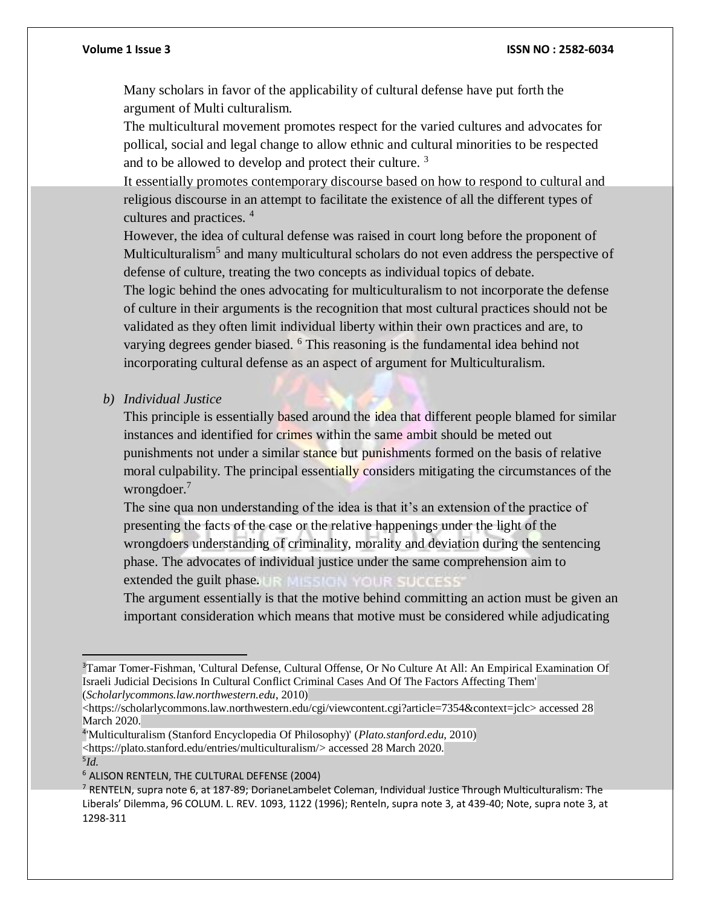Many scholars in favor of the applicability of cultural defense have put forth the argument of Multi culturalism.

The multicultural movement promotes respect for the varied cultures and advocates for pollical, social and legal change to allow ethnic and cultural minorities to be respected and to be allowed to develop and protect their culture.<sup>3</sup>

It essentially promotes contemporary discourse based on how to respond to cultural and religious discourse in an attempt to facilitate the existence of all the different types of cultures and practices. <sup>4</sup>

However, the idea of cultural defense was raised in court long before the proponent of Multiculturalism<sup>5</sup> and many multicultural scholars do not even address the perspective of defense of culture, treating the two concepts as individual topics of debate.

The logic behind the ones advocating for multiculturalism to not incorporate the defense of culture in their arguments is the recognition that most cultural practices should not be validated as they often limit individual liberty within their own practices and are, to varying degrees gender biased. <sup>6</sup> This reasoning is the fundamental idea behind not incorporating cultural defense as an aspect of argument for Multiculturalism.

*b) Individual Justice* 

This principle is essentially based around the idea that different people blamed for similar instances and identified for crimes within the same ambit should be meted out punishments not under a similar stance but punishments formed on the basis of relative moral culpability. The principal essentially considers mitigating the circumstances of the wrongdoer.<sup>7</sup>

The sine qua non understanding of the idea is that it's an extension of the practice of presenting the facts of the case or the relative happenings under the light of the wrongdoers understanding of criminality, morality and deviation during the sentencing phase. The advocates of individual justice under the same comprehension aim to extended the guilt phase.

The argument essentially is that the motive behind committing an action must be given an important consideration which means that motive must be considered while adjudicating

5 *Id.* 

 $\overline{a}$ 

<sup>3</sup>Tamar Tomer-Fishman, 'Cultural Defense, Cultural Offense, Or No Culture At All: An Empirical Examination Of Israeli Judicial Decisions In Cultural Conflict Criminal Cases And Of The Factors Affecting Them' (*Scholarlycommons.law.northwestern.edu*, 2010)

<sup>&</sup>lt;https://scholarlycommons.law.northwestern.edu/cgi/viewcontent.cgi?article=7354&context=jclc> accessed 28 March 2020.

<sup>4</sup> 'Multiculturalism (Stanford Encyclopedia Of Philosophy)' (*Plato.stanford.edu*, 2010)

<sup>&</sup>lt;https://plato.stanford.edu/entries/multiculturalism/> accessed 28 March 2020.

<sup>6</sup> ALISON RENTELN, THE CULTURAL DEFENSE (2004)

<sup>7</sup> RENTELN, supra note 6, at 187-89; DorianeLambelet Coleman, Individual Justice Through Multiculturalism: The Liberals' Dilemma, 96 COLUM. L. REV. 1093, 1122 (1996); Renteln, supra note 3, at 439-40; Note, supra note 3, at 1298-311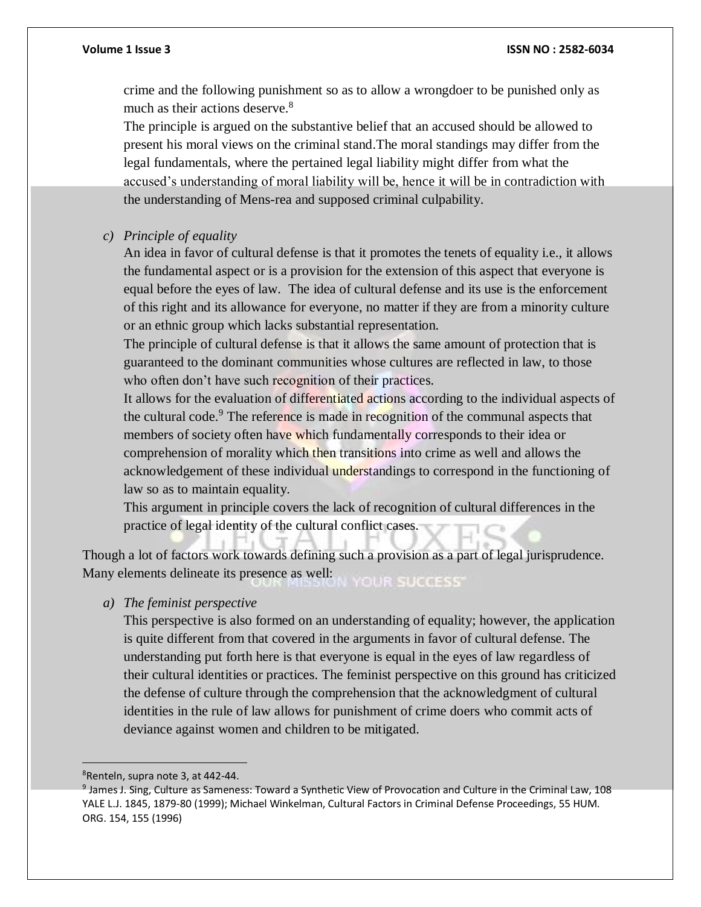crime and the following punishment so as to allow a wrongdoer to be punished only as much as their actions deserve.<sup>8</sup>

The principle is argued on the substantive belief that an accused should be allowed to present his moral views on the criminal stand.The moral standings may differ from the legal fundamentals, where the pertained legal liability might differ from what the accused's understanding of moral liability will be, hence it will be in contradiction with the understanding of Mens-rea and supposed criminal culpability.

*c) Principle of equality* 

An idea in favor of cultural defense is that it promotes the tenets of equality i.e., it allows the fundamental aspect or is a provision for the extension of this aspect that everyone is equal before the eyes of law. The idea of cultural defense and its use is the enforcement of this right and its allowance for everyone, no matter if they are from a minority culture or an ethnic group which lacks substantial representation.

The principle of cultural defense is that it allows the same amount of protection that is guaranteed to the dominant communities whose cultures are reflected in law, to those who often don't have such recognition of their practices.

It allows for the evaluation of differentiated actions according to the individual aspects of the cultural code.<sup>9</sup> The reference is made in recognition of the communal aspects that members of society often have which fundamentally corresponds to their idea or comprehension of morality which then transitions into crime as well and allows the acknowledgement of these individual understandings to correspond in the functioning of law so as to maintain equality.

This argument in principle covers the lack of recognition of cultural differences in the practice of legal identity of the cultural conflict cases.

Though a lot of factors work towards defining such a provision as a part of legal jurisprudence. Many elements delineate its presence as well: **YOUR SUCCESS'** 

*a) The feminist perspective* 

This perspective is also formed on an understanding of equality; however, the application is quite different from that covered in the arguments in favor of cultural defense. The understanding put forth here is that everyone is equal in the eyes of law regardless of their cultural identities or practices. The feminist perspective on this ground has criticized the defense of culture through the comprehension that the acknowledgment of cultural identities in the rule of law allows for punishment of crime doers who commit acts of deviance against women and children to be mitigated.

<sup>8</sup>Renteln, supra note 3, at 442-44.

<sup>9</sup> James J. Sing, Culture as Sameness: Toward a Synthetic View of Provocation and Culture in the Criminal Law, 108 YALE L.J. 1845, 1879-80 (1999); Michael Winkelman, Cultural Factors in Criminal Defense Proceedings, 55 HUM. ORG. 154, 155 (1996)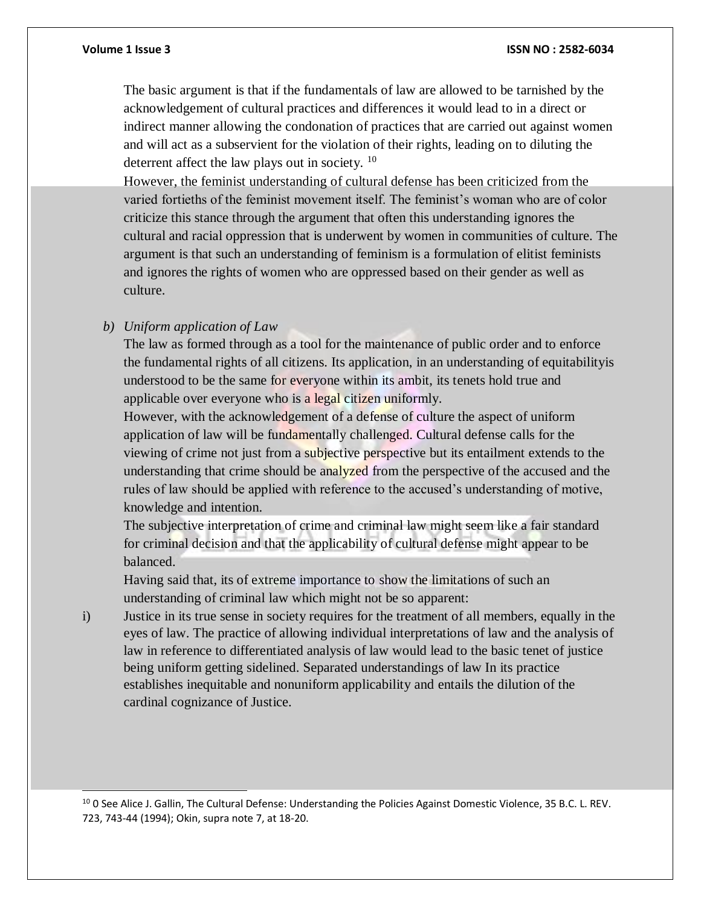l

#### **Volume 1 Issue 3 ISSN NO : 2582-6034**

The basic argument is that if the fundamentals of law are allowed to be tarnished by the acknowledgement of cultural practices and differences it would lead to in a direct or indirect manner allowing the condonation of practices that are carried out against women and will act as a subservient for the violation of their rights, leading on to diluting the deterrent affect the law plays out in society. <sup>10</sup>

However, the feminist understanding of cultural defense has been criticized from the varied fortieths of the feminist movement itself. The feminist's woman who are of color criticize this stance through the argument that often this understanding ignores the cultural and racial oppression that is underwent by women in communities of culture. The argument is that such an understanding of feminism is a formulation of elitist feminists and ignores the rights of women who are oppressed based on their gender as well as culture.

#### *b) Uniform application of Law*

The law as formed through as a tool for the maintenance of public order and to enforce the fundamental rights of all citizens. Its application, in an understanding of equitabilityis understood to be the same for everyone within its ambit, its tenets hold true and applicable over everyone who is a legal citizen uniformly.

However, with the acknowledgement of a defense of culture the aspect of uniform application of law will be fundamentally challenged. Cultural defense calls for the viewing of crime not just from a subjective perspective but its entailment extends to the understanding that crime should be analyzed from the perspective of the accused and the rules of law should be applied with reference to the accused's understanding of motive, knowledge and intention.

The subjective interpretation of crime and criminal law might seem like a fair standard for criminal decision and that the applicability of cultural defense might appear to be balanced.

Having said that, its of extreme importance to show the limitations of such an understanding of criminal law which might not be so apparent:

i) Justice in its true sense in society requires for the treatment of all members, equally in the eyes of law. The practice of allowing individual interpretations of law and the analysis of law in reference to differentiated analysis of law would lead to the basic tenet of justice being uniform getting sidelined. Separated understandings of law In its practice establishes inequitable and nonuniform applicability and entails the dilution of the cardinal cognizance of Justice.

<sup>10</sup> 0 See Alice J. Gallin, The Cultural Defense: Understanding the Policies Against Domestic Violence, 35 B.C. L. REV. 723, 743-44 (1994); Okin, supra note 7, at 18-20.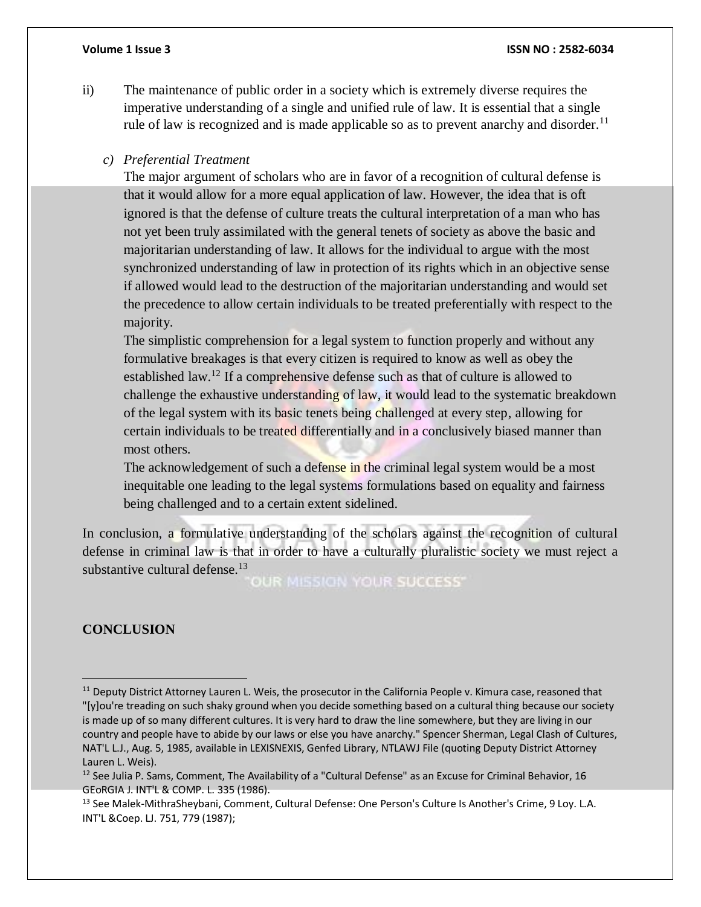ii) The maintenance of public order in a society which is extremely diverse requires the imperative understanding of a single and unified rule of law. It is essential that a single rule of law is recognized and is made applicable so as to prevent anarchy and disorder.<sup>11</sup>

### *c) Preferential Treatment*

The major argument of scholars who are in favor of a recognition of cultural defense is that it would allow for a more equal application of law. However, the idea that is oft ignored is that the defense of culture treats the cultural interpretation of a man who has not yet been truly assimilated with the general tenets of society as above the basic and majoritarian understanding of law. It allows for the individual to argue with the most synchronized understanding of law in protection of its rights which in an objective sense if allowed would lead to the destruction of the majoritarian understanding and would set the precedence to allow certain individuals to be treated preferentially with respect to the majority.

The simplistic comprehension for a legal system to function properly and without any formulative breakages is that every citizen is required to know as well as obey the established law.<sup>12</sup> If a comprehensive defense such as that of culture is allowed to challenge the exhaustive understanding of law, it would lead to the systematic breakdown of the legal system with its basic tenets being challenged at every step, allowing for certain individuals to be treated differentially and in a conclusively biased manner than most others.

The acknowledgement of such a defense in the criminal legal system would be a most inequitable one leading to the legal systems formulations based on equality and fairness being challenged and to a certain extent sidelined.

In conclusion, a formulative understanding of the scholars against the recognition of cultural defense in criminal law is that in order to have a culturally pluralistic society we must reject a substantive cultural defense. $13$ 

**OUR MISSION YOUR SUCCESS'** 

### **CONCLUSION**

<sup>&</sup>lt;sup>11</sup> Deputy District Attorney Lauren L. Weis, the prosecutor in the California People v. Kimura case, reasoned that "[y]ou're treading on such shaky ground when you decide something based on a cultural thing because our society is made up of so many different cultures. It is very hard to draw the line somewhere, but they are living in our country and people have to abide by our laws or else you have anarchy." Spencer Sherman, Legal Clash of Cultures, NAT'L L.J., Aug. 5, 1985, available in LEXISNEXIS, Genfed Library, NTLAWJ File (quoting Deputy District Attorney Lauren L. Weis).

 $12$  See Julia P. Sams, Comment, The Availability of a "Cultural Defense" as an Excuse for Criminal Behavior, 16 GEoRGIA J. INT'L & COMP. L. 335 (1986).

<sup>&</sup>lt;sup>13</sup> See Malek-MithraSheybani, Comment, Cultural Defense: One Person's Culture Is Another's Crime, 9 Loy. L.A. INT'L &Coep. LJ. 751, 779 (1987);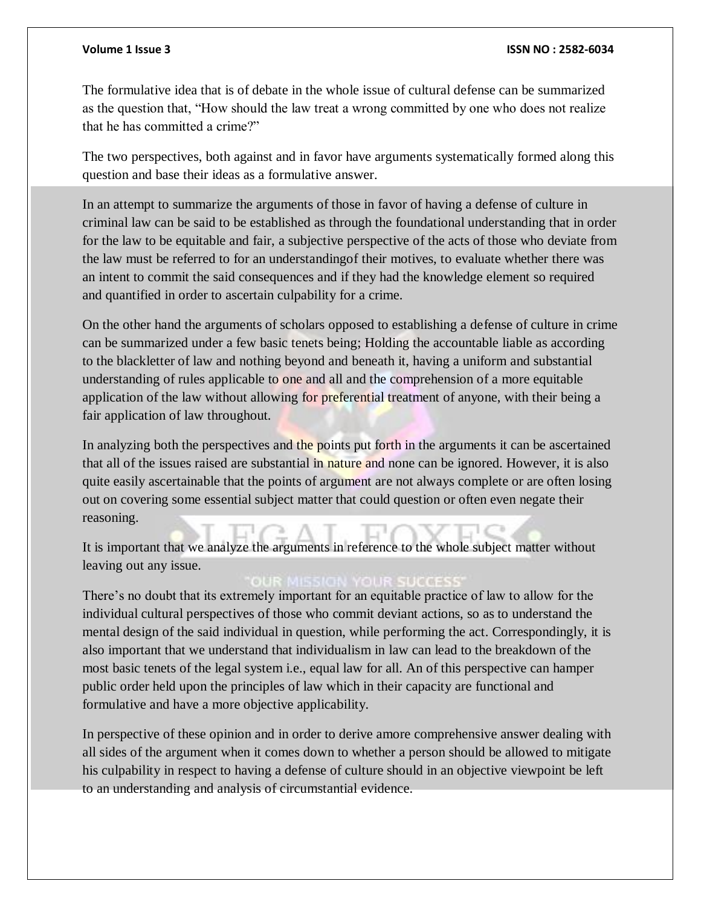#### **Volume 1 Issue 3 ISSN NO : 2582-6034**

The formulative idea that is of debate in the whole issue of cultural defense can be summarized as the question that, "How should the law treat a wrong committed by one who does not realize that he has committed a crime?"

The two perspectives, both against and in favor have arguments systematically formed along this question and base their ideas as a formulative answer.

In an attempt to summarize the arguments of those in favor of having a defense of culture in criminal law can be said to be established as through the foundational understanding that in order for the law to be equitable and fair, a subjective perspective of the acts of those who deviate from the law must be referred to for an understandingof their motives, to evaluate whether there was an intent to commit the said consequences and if they had the knowledge element so required and quantified in order to ascertain culpability for a crime.

On the other hand the arguments of scholars opposed to establishing a defense of culture in crime can be summarized under a few basic tenets being; Holding the accountable liable as according to the blackletter of law and nothing beyond and beneath it, having a uniform and substantial understanding of rules applicable to one and all and the comprehension of a more equitable application of the law without allowing for preferential treatment of anyone, with their being a fair application of law throughout.

In analyzing both the perspectives and the points put forth in the arguments it can be ascertained that all of the issues raised are substantial in nature and none can be ignored. However, it is also quite easily ascertainable that the points of argument are not always complete or are often losing out on covering some essential subject matter that could question or often even negate their reasoning.

It is important that we analyze the arguments in reference to the whole subject matter without leaving out any issue.

#### **ON YOUR SUCC**

There's no doubt that its extremely important for an equitable practice of law to allow for the individual cultural perspectives of those who commit deviant actions, so as to understand the mental design of the said individual in question, while performing the act. Correspondingly, it is also important that we understand that individualism in law can lead to the breakdown of the most basic tenets of the legal system i.e., equal law for all. An of this perspective can hamper public order held upon the principles of law which in their capacity are functional and formulative and have a more objective applicability.

In perspective of these opinion and in order to derive amore comprehensive answer dealing with all sides of the argument when it comes down to whether a person should be allowed to mitigate his culpability in respect to having a defense of culture should in an objective viewpoint be left to an understanding and analysis of circumstantial evidence.